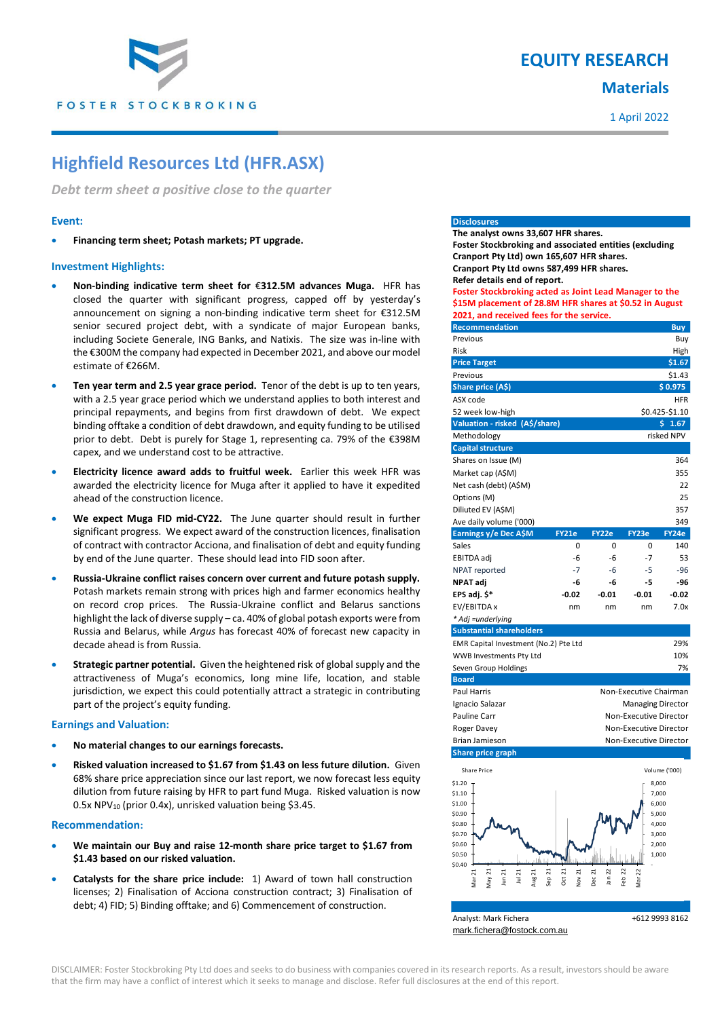

## **EQUITY RESEARCH**

## **Materials**

1 April 2022

# **Highfield Resources Ltd (HFR.ASX)**

*Debt term sheet a positive close to the quarter*

#### **Event:**

**Financing term sheet; Potash markets; PT upgrade.**

### **Investment Highlights:**

- **Non-binding indicative term sheet for** €**312.5M advances Muga.** HFR has closed the quarter with significant progress, capped off by yesterday's announcement on signing a non-binding indicative term sheet for €312.5M senior secured project debt, with a syndicate of major European banks, including Societe Generale, ING Banks, and Natixis. The size was in-line with the €300M the company had expected in December 2021, and above our model estimate of €266M.
- **Ten year term and 2.5 year grace period.** Tenor of the debt is up to ten years, with a 2.5 year grace period which we understand applies to both interest and principal repayments, and begins from first drawdown of debt. We expect binding offtake a condition of debt drawdown, and equity funding to be utilised prior to debt. Debt is purely for Stage 1, representing ca. 79% of the €398M capex, and we understand cost to be attractive.
- **Electricity licence award adds to fruitful week.** Earlier this week HFR was awarded the electricity licence for Muga after it applied to have it expedited ahead of the construction licence.
- **We expect Muga FID mid-CY22.** The June quarter should result in further significant progress. We expect award of the construction licences, finalisation of contract with contractor Acciona, and finalisation of debt and equity funding by end of the June quarter. These should lead into FID soon after.
- **Russia-Ukraine conflict raises concern over current and future potash supply.**  Potash markets remain strong with prices high and farmer economics healthy on record crop prices. The Russia-Ukraine conflict and Belarus sanctions highlight the lack of diverse supply – ca. 40% of global potash exports were from Russia and Belarus, while *Argus* has forecast 40% of forecast new capacity in decade ahead is from Russia.
- **Strategic partner potential.** Given the heightened risk of global supply and the attractiveness of Muga's economics, long mine life, location, and stable jurisdiction, we expect this could potentially attract a strategic in contributing part of the project's equity funding.

#### **Earnings and Valuation:**

- **No material changes to our earnings forecasts.**
- **Risked valuation increased to \$1.67 from \$1.43 on less future dilution.** Given 68% share price appreciation since our last report, we now forecast less equity dilution from future raising by HFR to part fund Muga. Risked valuation is now 0.5x NPV<sub>10</sub> (prior 0.4x), unrisked valuation being \$3.45.

#### **Recommendation:**

- **We maintain our Buy and raise 12-month share price target to \$1.67 from \$1.43 based on our risked valuation.**
- **Catalysts for the share price include:** 1) Award of town hall construction licenses; 2) Finalisation of Acciona construction contract; 3) Finalisation of debt; 4) FID; 5) Binding offtake; and 6) Commencement of construction.

#### **Disclosures**

**The analyst owns 33,607 HFR shares. Foster Stockbroking and associated entities (excluding Cranport Pty Ltd) own 165,607 HFR shares. Cranport Pty Ltd owns 587,499 HFR shares. Refer details end of report. Foster Stockbroking acted as Joint Lead Manager to the \$15M placement of 28.8M HFR shares at \$0.52 in August**

**2021, and received fees for the service.**

| <b>Recommendation</b>                 |                        |         |                          | <b>Buy</b> |  |
|---------------------------------------|------------------------|---------|--------------------------|------------|--|
| Previous                              |                        |         |                          | Buy        |  |
| Risk                                  |                        |         |                          | High       |  |
| <b>Price Target</b>                   |                        |         |                          | \$1.67     |  |
| Previous                              |                        |         |                          | \$1.43     |  |
| Share price (A\$)                     |                        |         |                          | \$0.975    |  |
| ASX code                              |                        |         | HFR                      |            |  |
| 52 week low-high                      |                        |         | \$0.425-\$1.10           |            |  |
| Valuation - risked (A\$/share)        |                        |         |                          | \$1.67     |  |
| Methodology                           |                        |         |                          | risked NPV |  |
| <b>Capital structure</b>              |                        |         |                          |            |  |
| Shares on Issue (M)                   |                        |         |                          | 364        |  |
| Market cap (A\$M)                     |                        |         |                          | 355        |  |
| Net cash (debt) (A\$M)                |                        |         |                          | 22         |  |
| Options (M)                           |                        |         |                          | 25         |  |
| Diliuted EV (A\$M)                    |                        |         |                          | 357        |  |
| Ave daily volume ('000)               |                        |         |                          | 349        |  |
| Earnings y/e Dec A\$M                 | <b>FY21e</b>           | FY22e   | FY23e                    | FY24e      |  |
| Sales                                 | 0                      | 0       | 0                        | 140        |  |
| EBITDA adj                            | -6                     | -6      | $-7$                     | 53         |  |
| NPAT reported                         | $-7$                   | -6      | -5                       | $-96$      |  |
| NPAT adj                              | -6                     | -6      | -5                       | -96        |  |
| EPS adj. \$*                          | $-0.02$                | $-0.01$ | $-0.01$                  | $-0.02$    |  |
| EV/EBITDA x                           | nm                     | nm      | nm                       | 7.0x       |  |
| * Adj =underlying                     |                        |         |                          |            |  |
| <b>Substantial shareholders</b>       |                        |         |                          |            |  |
| EMR Capital Investment (No.2) Pte Ltd |                        |         |                          | 29%        |  |
| WWB Investments Pty Ltd               |                        |         |                          | 10%        |  |
| Seven Group Holdings                  |                        |         |                          | 7%         |  |
| <b>Board</b>                          |                        |         |                          |            |  |
| <b>Paul Harris</b>                    |                        |         | Non-Executive Chairman   |            |  |
| Ignacio Salazar                       |                        |         | <b>Managing Director</b> |            |  |
| Pauline Carr                          | Non-Executive Director |         |                          |            |  |
| Roger Davey                           | Non-Executive Director |         |                          |            |  |
| Brian Jamieson                        |                        |         | Non-Executive Director   |            |  |
| <b>Share price graph</b>              |                        |         |                          |            |  |



DISCLAIMER: Foster Stockbroking Pty Ltd does and seeks to do business with companies covered in its research reports. As a result, investors should be aware that the firm may have a conflict of interest which it seeks to manage and disclose. Refer full disclosures at the end of this report.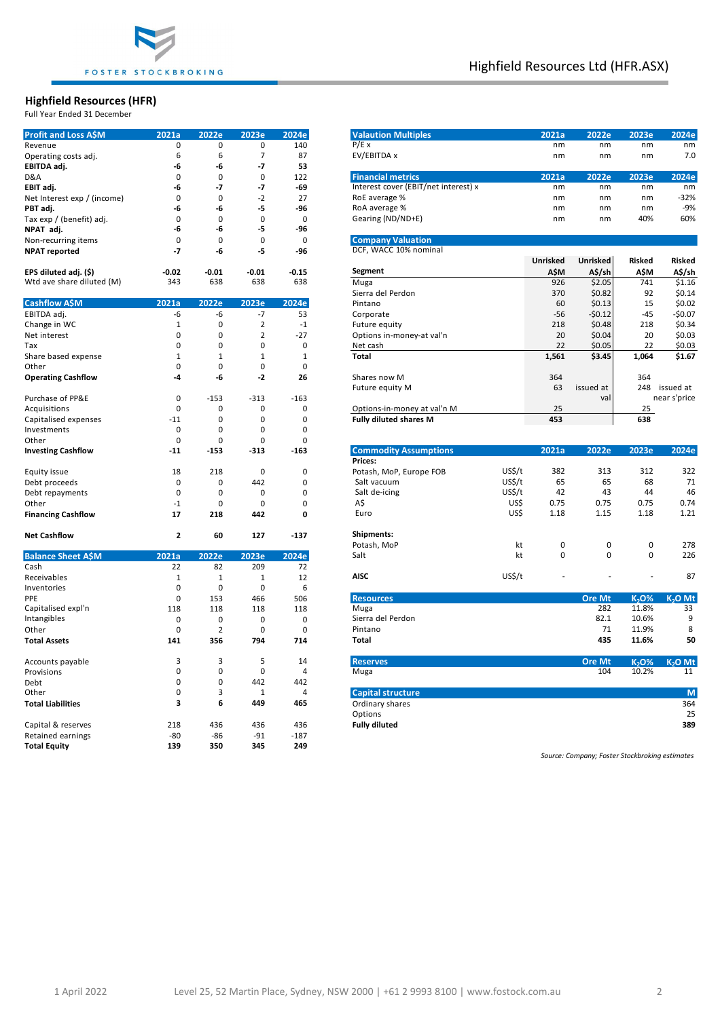

#### **Highfield Resources (HFR)**

| <b>Profit and Loss A\$M</b> | 2021a        | 2022e          | 2023e          | 2024e          | <b>Valaution Multiples</b>           | 2021a           | 2022e                | 2023e                  | 2024e               |
|-----------------------------|--------------|----------------|----------------|----------------|--------------------------------------|-----------------|----------------------|------------------------|---------------------|
| Revenue                     | $\pmb{0}$    | $\mathbf 0$    | $\mathsf 0$    | 140            | P/E x                                | nm              | nm                   | nm                     | nm                  |
| Operating costs adj.        | 6            | 6              | $\overline{7}$ | 87             | EV/EBITDA x                          | nm              | nm                   | nm                     | 7.0                 |
| EBITDA adj.                 | -6           | -6             | $-7$           | 53             |                                      |                 |                      |                        |                     |
| D&A                         | $\mathbf 0$  | $\mathbf 0$    | $\mathbf 0$    | 122            | <b>Financial metrics</b>             | 2021a           | 2022e                | 2023e                  | 2024e               |
| EBIT adj.                   | -6           | -7             | $-7$           | $-69$          | Interest cover (EBIT/net interest) x | nm              | nm                   | nm                     | nm                  |
|                             | $\mathbf 0$  | $\mathbf 0$    | $-2$           | 27             | RoE average %                        | nm              | nm                   | nm                     | $-32%$              |
| Net Interest exp / (income) |              |                |                |                | RoA average %                        | nm              | nm                   | nm                     | $-9%$               |
| PBT adj.                    | -6           | -6             | -5             | -96            |                                      |                 |                      |                        |                     |
| Tax exp / (benefit) adj.    | $\mathbf 0$  | 0              | $\mathbf 0$    | $\pmb{0}$      | Gearing (ND/ND+E)                    | nm              | nm                   | 40%                    | 60%                 |
| NPAT adj.                   | -6           | -6             | -5             | $-96$          |                                      |                 |                      |                        |                     |
| Non-recurring items         | $\mathbf 0$  | $\mathbf 0$    | $\mathbf 0$    | $\pmb{0}$      | <b>Company Valuation</b>             |                 |                      |                        |                     |
| <b>NPAT reported</b>        | $-7$         | -6             | -5             | -96            | DCF, WACC 10% nominal                |                 |                      |                        |                     |
|                             |              |                |                |                |                                      | <b>Unrisked</b> | Unrisked             | <b>Risked</b>          | Risked              |
| EPS diluted adj. (\$)       | $-0.02$      | $-0.01$        | $-0.01$        | $-0.15$        | Segment                              | A\$M            | A\$/sh               | A\$M                   | A\$/sh              |
| Wtd ave share diluted (M)   | 343          | 638            | 638            | 638            | Muga                                 | 926             | \$2.05               | 741                    | \$1.16              |
|                             |              |                |                |                | Sierra del Perdon                    | 370             | \$0.82               | 92                     | \$0.14              |
| <b>Cashflow A\$M</b>        | 2021a        | 2022e          | 2023e          | 2024e          | Pintano                              | 60              | \$0.13               | 15                     | \$0.02              |
| EBITDA adj.                 | -6           | -6             | $-7$           | 53             | Corporate                            | $-56$           | $-50.12$             | $-45$                  | $-$0.07$            |
|                             | $\mathbf 1$  | $\mathbf 0$    | $\overline{2}$ | $-1$           |                                      | 218             | \$0.48               | 218                    | \$0.34              |
| Change in WC                |              |                |                |                | Future equity                        |                 |                      |                        |                     |
| Net interest                | $\pmb{0}$    | $\mathbf 0$    | $\overline{2}$ | $-27$          | Options in-money-at val'n            | 20              | \$0.04               | 20                     | \$0.03              |
| Tax                         | $\pmb{0}$    | $\mathbf 0$    | $\mathbf 0$    | $\pmb{0}$      | Net cash                             | 22              | \$0.05               | 22                     | \$0.03              |
| Share based expense         | $\mathbf{1}$ | $\mathbf{1}$   | $\mathbf{1}$   | $\mathbf{1}$   | <b>Total</b>                         | 1,561           | \$3.45               | 1,064                  | \$1.67              |
| Other                       | $\mathbf 0$  | $\mathbf 0$    | $\mathbf 0$    | $\mathbf 0$    |                                      |                 |                      |                        |                     |
| <b>Operating Cashflow</b>   | $-4$         | -6             | $-2$           | 26             | Shares now M                         | 364             |                      | 364                    |                     |
|                             |              |                |                |                | Future equity M                      | 63              | issued at            |                        | 248 issued at       |
| Purchase of PP&E            | $\mathbf 0$  | $-153$         | $-313$         | $-163$         |                                      |                 | val                  |                        | near s'price        |
| Acquisitions                | $\mathbf 0$  | $\mathbf 0$    | $\mathbf 0$    | $\mathbf 0$    | Options-in-money at val'n M          | 25              |                      | 25                     |                     |
| Capitalised expenses        | $-11$        | $\mathbf{0}$   | $\mathbf 0$    | $\mathbf 0$    | <b>Fully diluted shares M</b>        | 453             |                      | 638                    |                     |
| Investments                 | 0            | $\mathbf{0}$   | $\mathbf 0$    | $\mathbf 0$    |                                      |                 |                      |                        |                     |
| Other                       | 0            | 0              | $\mathbf 0$    | 0              |                                      |                 |                      |                        |                     |
|                             | $-11$        | $-153$         | $-313$         | $-163$         | <b>Commodity Assumptions</b>         | 2021a           | 2022e                | 2023e                  | 2024e               |
| <b>Investing Cashflow</b>   |              |                |                |                | Prices:                              |                 |                      |                        |                     |
|                             |              |                |                |                | US\$/t                               | 382             | 313                  | 312                    | 322                 |
| Equity issue                | 18           | 218            | $\mathbf 0$    | $\mathbf 0$    | Potash, MoP, Europe FOB<br>US\$/t    | 65              | 65                   | 68                     | 71                  |
| Debt proceeds               | $\mathbf 0$  | 0              | 442            | 0              | Salt vacuum                          |                 |                      |                        |                     |
| Debt repayments             | $\mathbf 0$  | $\mathbf 0$    | $\mathbf 0$    | $\mathbf 0$    | US\$/t<br>Salt de-icing              | 42              | 43                   | 44                     | 46                  |
| Other                       | $-1$         | 0              | $\mathbf 0$    | 0              | US\$<br>A\$                          | 0.75            | 0.75                 | 0.75                   | 0.74                |
| <b>Financing Cashflow</b>   | 17           | 218            | 442            | 0              | US\$<br>Euro                         | 1.18            | 1.15                 | 1.18                   | 1.21                |
|                             |              |                |                |                |                                      |                 |                      |                        |                     |
| <b>Net Cashflow</b>         | $\mathbf{2}$ | 60             | 127            | $-137$         | <b>Shipments:</b>                    |                 |                      |                        |                     |
|                             |              |                |                |                | kt<br>Potash, MoP                    | 0               | 0                    | $\pmb{0}$              | 278                 |
| <b>Balance Sheet A\$M</b>   | 2021a        | 2022e          | 2023e          | 2024e          | Salt<br>kt                           | 0               | 0                    | $\mathbf 0$            | 226                 |
| Cash                        | 22           | 82             | 209            | 72             |                                      |                 |                      |                        |                     |
| Receivables                 | $\mathbf 1$  | $\mathbf{1}$   | $\mathbf{1}$   | 12             | US\$/t<br><b>AISC</b>                |                 |                      |                        | 87                  |
| Inventories                 | $\pmb{0}$    | $\mathbf 0$    | $\mathbf 0$    | 6              |                                      |                 |                      |                        |                     |
| PPE                         | $\mathbf 0$  | 153            | 466            | 506            | <b>Resources</b>                     |                 | <b>Ore Mt</b>        | <b>K<sub>2</sub>O%</b> | K <sub>2</sub> O Mt |
| Capitalised expl'n          | 118          | 118            | 118            | 118            | Muga                                 |                 | 282                  | 11.8%                  | 33                  |
| Intangibles                 |              | $\mathbf 0$    | $\mathbf 0$    |                | Sierra del Perdon                    |                 | 82.1                 | 10.6%                  | 9                   |
|                             | $\pmb{0}$    |                |                | $\pmb{0}$      |                                      |                 |                      |                        |                     |
| Other                       | $\mathbf 0$  | $\overline{2}$ | $\mathbf 0$    | $\mathbf 0$    | Pintano                              |                 | 71                   | 11.9%                  | 8                   |
| <b>Total Assets</b>         | 141          | 356            | 794            | 714            | <b>Total</b>                         |                 | 435                  | 11.6%                  | 50                  |
|                             | 3            | 3              | 5              | 14             |                                      |                 |                      |                        |                     |
| Accounts payable            | $\mathbf 0$  | $\mathbf 0$    |                | $\overline{4}$ | <b>Reserves</b>                      |                 | <b>Ore Mt</b><br>104 | K <sub>2</sub> O%      | $K2O$ Mt            |
| Provisions                  |              |                | $\mathbf 0$    |                | Muga                                 |                 |                      | 10.2%                  | 11                  |
| Debt                        | $\mathbf 0$  | $\mathbf 0$    | 442            | 442            |                                      |                 |                      |                        |                     |
| Other                       | $\mathbf 0$  | 3              | 1              | $\overline{4}$ | <b>Capital structure</b>             |                 |                      |                        | M                   |
| <b>Total Liabilities</b>    | 3            | 6              | 449            | 465            | Ordinary shares                      |                 |                      |                        | 364                 |
|                             |              |                |                |                | Options                              |                 |                      |                        | 25                  |
| Capital & reserves          | 218          | 436            | 436            | 436            | <b>Fully diluted</b>                 |                 |                      |                        | 389                 |
| Retained earnings           | $-80$        | $-86$          | $-91$          | $-187$         |                                      |                 |                      |                        |                     |
| <b>Total Equity</b>         | 139          | 350            | 345            | 249            |                                      |                 |                      |                        |                     |
|                             |              |                |                |                |                                      |                 |                      |                        |                     |

| <b>Highfield Resources (HFR)</b><br>Full Year Ended 31 December |              |              |                |             |                                         |        |                 |                         |                   |              |
|-----------------------------------------------------------------|--------------|--------------|----------------|-------------|-----------------------------------------|--------|-----------------|-------------------------|-------------------|--------------|
| <b>Profit and Loss A\$M</b>                                     | 2021a        | 2022e        | 2023e          | 2024e       | <b>Valaution Multiples</b>              |        | 2021a           | 2022e                   | 2023e             | 2024e        |
| Revenue                                                         | $\mathbf 0$  | $\mathbf 0$  | 0              | 140         | P/E x                                   |        | nm              | nm                      | nm                | nm           |
| Operating costs adj.                                            | 6            | 6            | $\overline{7}$ | 87          | EV/EBITDA x                             |        | nm              | nm                      | nm                | 7.0          |
| EBITDA adj.                                                     | -6           | -6           | $-7$           | 53          |                                         |        |                 |                         |                   |              |
| D&A                                                             | $\Omega$     | 0            | $\mathbf 0$    | 122         | <b>Financial metrics</b>                |        | 2021a           | 2022e                   | 2023e             | 2024e        |
| EBIT adj.                                                       | -6           | -7           | $-7$           | -69         | Interest cover (EBIT/net interest) x    |        | nm              | nm                      | nm                | nm           |
| Net Interest exp / (income)                                     | $\Omega$     | $\Omega$     | $-2$           | 27          | RoE average %                           |        | nm              | nm                      | nm                | $-32%$       |
| PBT adj.                                                        | -6           | -6           | $-5$           | -96         | RoA average %                           |        | nm              | nm                      | nm                | $-9%$        |
| Tax exp / (benefit) adj.                                        | $\Omega$     | 0            | $\mathbf 0$    | $\mathbf 0$ | Gearing (ND/ND+E)                       |        | nm              | nm                      | 40%               | 60%          |
| NPAT adj.                                                       | -6           | -6           | -5             | -96         |                                         |        |                 |                         |                   |              |
| Non-recurring items                                             | 0            | 0            | $\mathbf 0$    | $\mathbf 0$ | <b>Company Valuation</b>                |        |                 |                         |                   |              |
| <b>NPAT reported</b>                                            | $-7$         | -6           | -5             | $-96$       | DCF, WACC 10% nominal                   |        |                 |                         |                   |              |
|                                                                 |              |              |                |             |                                         |        | <b>Unrisked</b> | <b>Unrisked</b>         | <b>Risked</b>     | Risked       |
| EPS diluted adj. (\$)                                           | $-0.02$      | $-0.01$      | $-0.01$        | $-0.15$     | Segment                                 |        | A\$M            | A\$/sh                  | <b>A\$M</b>       | A\$/sh       |
| Wtd ave share diluted (M)                                       | 343          | 638          | 638            | 638         | Muga                                    |        | 926             | \$2.05                  | 741               | \$1.16       |
|                                                                 |              |              |                |             | Sierra del Perdon                       |        | 370             | \$0.82                  | 92                | \$0.14       |
| <b>Cashflow A\$M</b>                                            | 2021a        | 2022e        | 2023e          | 2024e       | Pintano                                 |        | 60              | \$0.13                  | 15                | \$0.02       |
| EBITDA adj.                                                     | -6           | -6           | -7             | 53          | Corporate                               |        | $-56$           | $-50.12$                | -45               | -\$0.07      |
| Change in WC                                                    | $1\,$        | $\mathbf 0$  | $\overline{2}$ | $-1$        | Future equity                           |        | 218             | \$0.48                  | 218               | \$0.34       |
| Net interest                                                    | $\Omega$     | 0            | $\overline{2}$ | $-27$       | Options in-money-at val'n               |        | 20              | \$0.04                  | 20                | \$0.03       |
| Tax                                                             | $\Omega$     | 0            | $\mathbf 0$    | 0           | Net cash                                |        | 22              | \$0.05                  | 22                | \$0.03       |
| Share based expense                                             | $\mathbf{1}$ | $\mathbf{1}$ | $\mathbf{1}$   | $1\,$       | <b>Total</b>                            |        | 1,561           | \$3.45                  | 1,064             | \$1.67       |
| Other                                                           | $\Omega$     | 0            | $\mathbf 0$    | $\mathbf 0$ |                                         |        |                 |                         |                   |              |
| <b>Operating Cashflow</b>                                       | -4           | -6           | $-2$           | 26          | Shares now M                            |        | 364             |                         | 364               |              |
|                                                                 |              |              |                |             | Future equity M                         |        | 63              | issued at               | 248               | issued at    |
| Purchase of PP&E                                                | 0            | -153         | -313           | $-163$      |                                         |        |                 | val                     |                   | near s'price |
| Acquisitions                                                    | $\Omega$     | 0            | $\mathbf 0$    | 0           | Options-in-money at val'n M             |        | 25              |                         | 25                |              |
| Capitalised expenses                                            | $-11$        | 0            | 0              | $\mathbf 0$ | <b>Fully diluted shares M</b>           |        | 453             |                         | 638               |              |
| Investments                                                     | 0            | 0            | $\mathbf 0$    | 0           |                                         |        |                 |                         |                   |              |
| Other                                                           | $\Omega$     | $\mathbf 0$  | $\mathbf 0$    | $\mathbf 0$ |                                         |        |                 |                         |                   |              |
| <b>Investing Cashflow</b>                                       | $-11$        | $-153$       | -313           | $-163$      | <b>Commodity Assumptions</b><br>Prices: |        | 2021a           | 2022e                   | 2023e             | 2024e        |
| Equity issue                                                    | 18           | 218          | $\mathbf 0$    | 0           | Potash, MoP, Europe FOB                 | US\$/t | 382             | 313                     | 312               | 322          |
| Debt proceeds                                                   | $\mathbf 0$  | 0            | 442            | $\mathbf 0$ | Salt vacuum                             | US\$/t | 65              | 65                      | 68                | 71           |
| Debt repayments                                                 | $\Omega$     | $\mathbf 0$  | $\mathbf 0$    | $\mathbf 0$ | Salt de-icing                           | US\$/t | 42              | 43                      | 44                | 46           |
| Other                                                           | $-1$         | $\mathbf 0$  | $\mathbf 0$    | $\Omega$    | A\$                                     | US\$   | 0.75            | 0.75                    | 0.75              | 0.74         |
| <b>Financing Cashflow</b>                                       | 17           | 218          | 442            | 0           | Euro                                    | US\$   | 1.18            | 1.15                    | 1.18              | 1.21         |
| Net Cashflow                                                    | 2            | 60           | 127            | $-137$      | <b>Shipments:</b>                       |        |                 |                         |                   |              |
|                                                                 |              |              |                |             | Potash, MoP                             | kt     | $\mathbf 0$     | $\mathbf 0$<br>$\Omega$ | 0<br>$\Omega$     | 278          |
| <b>Balance Sheet A\$M</b>                                       | 2021a        | 2022e        | 2023e          | 2024e       | Salt                                    | kt     | 0               |                         |                   | 226          |
| Cash                                                            | 22           | 82           | 209            | 72          |                                         |        |                 |                         |                   |              |
| Receivables                                                     | $\mathbf{1}$ | $\mathbf{1}$ | 1              | 12          | <b>AISC</b>                             | US\$/t |                 |                         |                   | 87           |
| Inventories                                                     | 0            | $\mathbf 0$  | $\mathbf 0$    | 6           |                                         |        |                 |                         |                   |              |
| PPE<br>Capitalisad avalla                                       | 0            | 153          | 466            | 506         | <b>Resources</b>                        |        |                 | <b>Ore Mt</b>           | K <sub>2</sub> O% | $K2O$ Mt     |

| capitaliscu cypi il      | TTO | ᅭ   | 110 | 110 | <b>IVIUKA</b>            | 202           | 11.070                        | رر                  |
|--------------------------|-----|-----|-----|-----|--------------------------|---------------|-------------------------------|---------------------|
| Intangibles              |     |     | 0   | 0   | Sierra del Perdon        | 82.1          | 10.6%                         | 9                   |
| Other                    |     |     | 0   | 0   | Pintano                  | 71            | 11.9%                         | 8                   |
| <b>Total Assets</b>      | 141 | 356 | 794 | 714 | Total                    | 435           | 11.6%                         | 50                  |
| Accounts payable         |     |     | ь   | 14  | <b>Reserves</b>          | <b>Ore Mt</b> | K <sub>2</sub> O <sub>2</sub> | K <sub>2</sub> O Mt |
| Provisions               |     |     | 0   | 4   | Muga                     | 104           | 10.2%                         | 11                  |
| Debt                     |     |     | 442 | 442 |                          |               |                               |                     |
| Other                    |     |     |     | 4   | <b>Capital structure</b> |               |                               | M                   |
| <b>Total Liabilities</b> |     | 6   | 449 | 465 | Ordinary shares          |               |                               | 364                 |
|                          |     |     |     |     | Options                  |               |                               | 25                  |
|                          |     |     |     |     |                          |               |                               |                     |

*Source: Company; Foster Stockbroking estimates*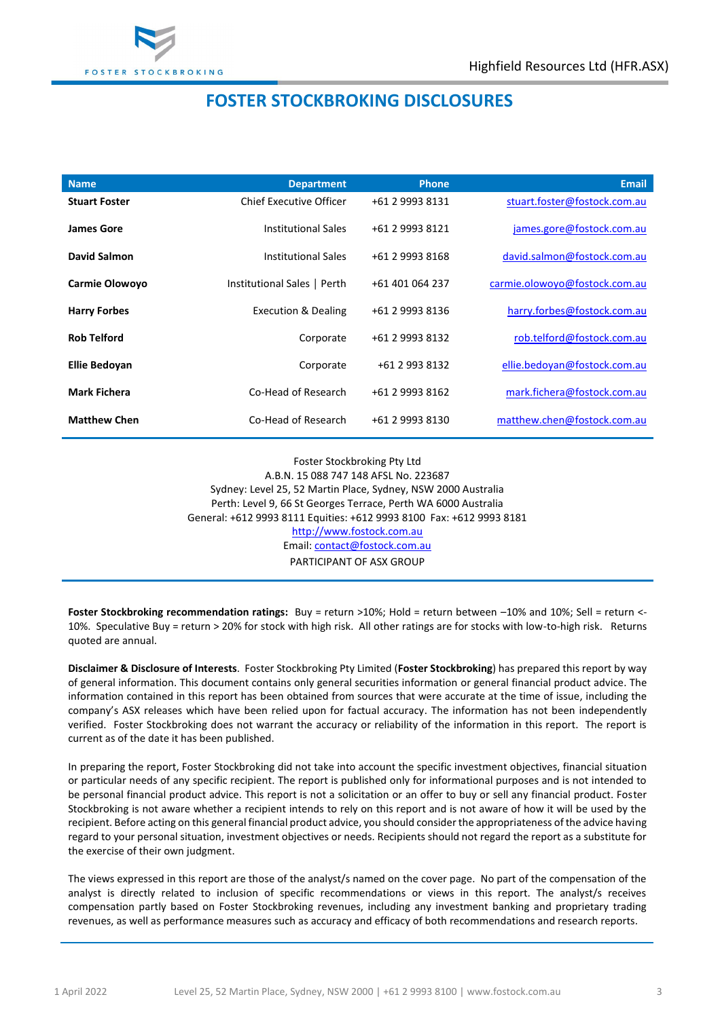

## **FOSTER STOCKBROKING DISCLOSURES**

| <b>Name</b>          | <b>Department</b>              | <b>Phone</b>    | <b>Email</b>                  |
|----------------------|--------------------------------|-----------------|-------------------------------|
| <b>Stuart Foster</b> | Chief Executive Officer        | +61 2 9993 8131 | stuart.foster@fostock.com.au  |
| James Gore           | Institutional Sales            | +61 2 9993 8121 | james.gore@fostock.com.au     |
| David Salmon         | <b>Institutional Sales</b>     | +61 2 9993 8168 | david.salmon@fostock.com.au   |
| Carmie Olowoyo       | Institutional Sales   Perth    | +61 401 064 237 | carmie.olowoyo@fostock.com.au |
| <b>Harry Forbes</b>  | <b>Execution &amp; Dealing</b> | +61 2 9993 8136 | harry.forbes@fostock.com.au   |
| <b>Rob Telford</b>   | Corporate                      | +61 2 9993 8132 | rob.telford@fostock.com.au    |
| Ellie Bedoyan        | Corporate                      | +61 2 993 8132  | ellie.bedoyan@fostock.com.au  |
| <b>Mark Fichera</b>  | Co-Head of Research            | +61 2 9993 8162 | mark.fichera@fostock.com.au   |
| <b>Matthew Chen</b>  | Co-Head of Research            | +61 2 9993 8130 | matthew.chen@fostock.com.au   |

Foster Stockbroking Pty Ltd A.B.N. 15 088 747 148 AFSL No. 223687 Sydney: Level 25, 52 Martin Place, Sydney, NSW 2000 Australia Perth: Level 9, 66 St Georges Terrace, Perth WA 6000 Australia General: +612 9993 8111 Equities: +612 9993 8100 Fax: +612 9993 8181 [http://www.fostock.com.au](http://www.fostock.com.au/) Email: [contact@fostock.com.au](mailto:contact@fostock.com.au) PARTICIPANT OF ASX GROUP

**Foster Stockbroking recommendation ratings:** Buy = return >10%; Hold = return between –10% and 10%; Sell = return <- 10%. Speculative Buy = return > 20% for stock with high risk. All other ratings are for stocks with low-to-high risk. Returns quoted are annual.

**Disclaimer & Disclosure of Interests**. Foster Stockbroking Pty Limited (**Foster Stockbroking**) has prepared this report by way of general information. This document contains only general securities information or general financial product advice. The information contained in this report has been obtained from sources that were accurate at the time of issue, including the company's ASX releases which have been relied upon for factual accuracy. The information has not been independently verified. Foster Stockbroking does not warrant the accuracy or reliability of the information in this report. The report is current as of the date it has been published.

In preparing the report, Foster Stockbroking did not take into account the specific investment objectives, financial situation or particular needs of any specific recipient. The report is published only for informational purposes and is not intended to be personal financial product advice. This report is not a solicitation or an offer to buy or sell any financial product. Foster Stockbroking is not aware whether a recipient intends to rely on this report and is not aware of how it will be used by the recipient. Before acting on this general financial product advice, you should consider the appropriateness of the advice having regard to your personal situation, investment objectives or needs. Recipients should not regard the report as a substitute for the exercise of their own judgment.

The views expressed in this report are those of the analyst/s named on the cover page. No part of the compensation of the analyst is directly related to inclusion of specific recommendations or views in this report. The analyst/s receives compensation partly based on Foster Stockbroking revenues, including any investment banking and proprietary trading revenues, as well as performance measures such as accuracy and efficacy of both recommendations and research reports.